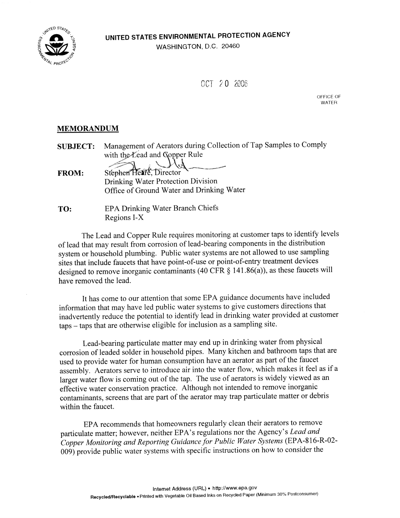UNITED STATES ENVIRONMENTAL PROTECTION AGENCY

WASHINGTON, D.C. 20460



OCT 20 2006

OFFICE OF **WATFR** 

## **MEMORANDUM**

Management of Aerators during Collection of Tap Samples to Comply **SUBJECT:** with the Lead and Gopper Rule

Stephen Heare, Director **FROM: Drinking Water Protection Division** Office of Ground Water and Drinking Water

TO: **EPA Drinking Water Branch Chiefs** Regions I-X

The Lead and Copper Rule requires monitoring at customer taps to identify levels of lead that may result from corrosion of lead-bearing components in the distribution system or household plumbing. Public water systems are not allowed to use sampling sites that include faucets that have point-of-use or point-of-entry treatment devices designed to remove inorganic contaminants (40 CFR  $\S$  141.86(a)), as these faucets will have removed the lead.

It has come to our attention that some EPA guidance documents have included information that may have led public water systems to give customers directions that inadvertently reduce the potential to identify lead in drinking water provided at customer taps – taps that are otherwise eligible for inclusion as a sampling site.

Lead-bearing particulate matter may end up in drinking water from physical corrosion of leaded solder in household pipes. Many kitchen and bathroom taps that are used to provide water for human consumption have an aerator as part of the faucet assembly. Aerators serve to introduce air into the water flow, which makes it feel as if a larger water flow is coming out of the tap. The use of aerators is widely viewed as an effective water conservation practice. Although not intended to remove inorganic contaminants, screens that are part of the aerator may trap particulate matter or debris within the faucet.

EPA recommends that homeowners regularly clean their aerators to remove particulate matter; however, neither EPA's regulations nor the Agency's Lead and Copper Monitoring and Reporting Guidance for Public Water Systems (EPA-816-R-02-009) provide public water systems with specific instructions on how to consider the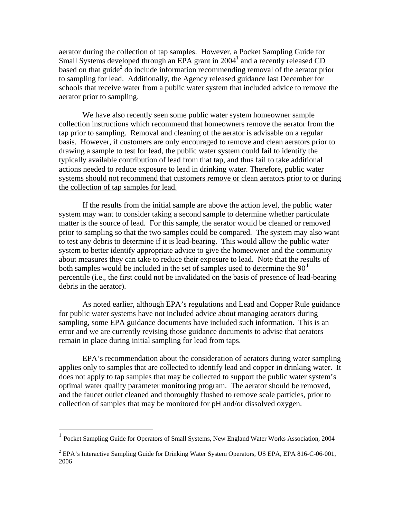aerator during the collection of tap samples. However, a Pocket Sampling Guide for Small Systems developed through an EPA grant in 2004<sup>1</sup> and a recently released CD based on that guide<sup>2</sup> do include information recommending removal of the aerator prior to sampling for lead. Additionally, the Agency released guidance last December for schools that receive water from a public water system that included advice to remove the aerator prior to sampling.

 We have also recently seen some public water system homeowner sample collection instructions which recommend that homeowners remove the aerator from the tap prior to sampling. Removal and cleaning of the aerator is advisable on a regular basis. However, if customers are only encouraged to remove and clean aerators prior to drawing a sample to test for lead, the public water system could fail to identify the typically available contribution of lead from that tap, and thus fail to take additional actions needed to reduce exposure to lead in drinking water. Therefore, public water systems should not recommend that customers remove or clean aerators prior to or during the collection of tap samples for lead.

 If the results from the initial sample are above the action level, the public water system may want to consider taking a second sample to determine whether particulate matter is the source of lead. For this sample, the aerator would be cleaned or removed prior to sampling so that the two samples could be compared. The system may also want to test any debris to determine if it is lead-bearing. This would allow the public water system to better identify appropriate advice to give the homeowner and the community about measures they can take to reduce their exposure to lead. Note that the results of both samples would be included in the set of samples used to determine the  $90<sup>th</sup>$ percentile (i.e., the first could not be invalidated on the basis of presence of lead-bearing debris in the aerator).

 As noted earlier, although EPA's regulations and Lead and Copper Rule guidance for public water systems have not included advice about managing aerators during sampling, some EPA guidance documents have included such information. This is an error and we are currently revising those guidance documents to advise that aerators remain in place during initial sampling for lead from taps.

 EPA's recommendation about the consideration of aerators during water sampling applies only to samples that are collected to identify lead and copper in drinking water. It does not apply to tap samples that may be collected to support the public water system's optimal water quality parameter monitoring program. The aerator should be removed, and the faucet outlet cleaned and thoroughly flushed to remove scale particles, prior to collection of samples that may be monitored for pH and/or dissolved oxygen.

 $\overline{a}$ 

<sup>&</sup>lt;sup>1</sup> Pocket Sampling Guide for Operators of Small Systems, New England Water Works Association, 2004

 $2$  EPA's Interactive Sampling Guide for Drinking Water System Operators, US EPA, EPA 816-C-06-001, 2006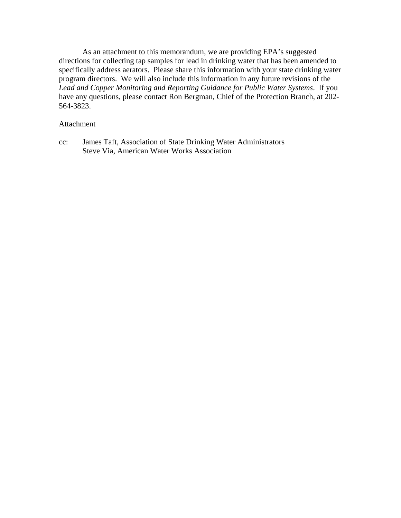As an attachment to this memorandum, we are providing EPA's suggested directions for collecting tap samples for lead in drinking water that has been amended to specifically address aerators. Please share this information with your state drinking water program directors. We will also include this information in any future revisions of the *Lead and Copper Monitoring and Reporting Guidance for Public Water Systems*. If you have any questions, please contact Ron Bergman, Chief of the Protection Branch, at 202- 564-3823.

## Attachment

cc: James Taft, Association of State Drinking Water Administrators Steve Via, American Water Works Association